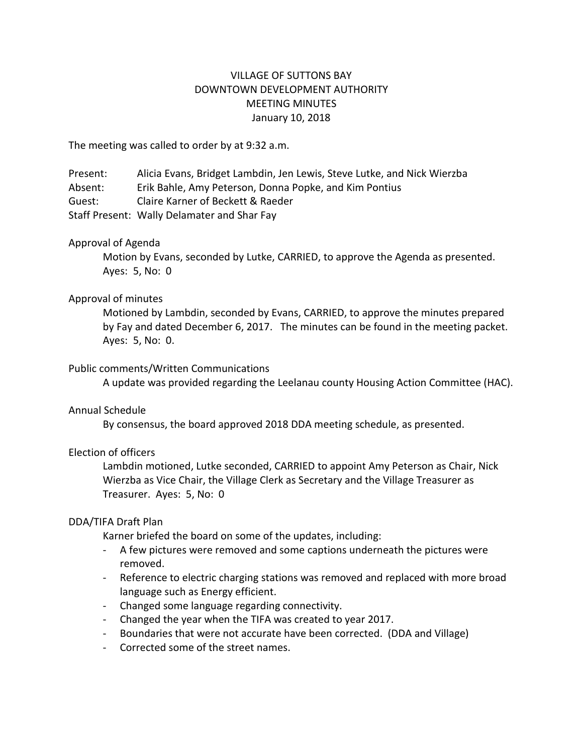# VILLAGE OF SUTTONS BAY DOWNTOWN DEVELOPMENT AUTHORITY MEETING MINUTES January 10, 2018

The meeting was called to order by at 9:32 a.m.

Present: Alicia Evans, Bridget Lambdin, Jen Lewis, Steve Lutke, and Nick Wierzba Absent: Erik Bahle, Amy Peterson, Donna Popke, and Kim Pontius Guest: Claire Karner of Beckett & Raeder Staff Present: Wally Delamater and Shar Fay

# Approval of Agenda

Motion by Evans, seconded by Lutke, CARRIED, to approve the Agenda as presented. Ayes: 5, No: 0

# Approval of minutes

Motioned by Lambdin, seconded by Evans, CARRIED, to approve the minutes prepared by Fay and dated December 6, 2017. The minutes can be found in the meeting packet. Ayes: 5, No: 0.

## Public comments/Written Communications

A update was provided regarding the Leelanau county Housing Action Committee (HAC).

## Annual Schedule

By consensus, the board approved 2018 DDA meeting schedule, as presented.

# Election of officers

Lambdin motioned, Lutke seconded, CARRIED to appoint Amy Peterson as Chair, Nick Wierzba as Vice Chair, the Village Clerk as Secretary and the Village Treasurer as Treasurer. Ayes: 5, No: 0

#### DDA/TIFA Draft Plan

Karner briefed the board on some of the updates, including:

- A few pictures were removed and some captions underneath the pictures were removed.
- Reference to electric charging stations was removed and replaced with more broad language such as Energy efficient.
- Changed some language regarding connectivity.
- Changed the year when the TIFA was created to year 2017.
- Boundaries that were not accurate have been corrected. (DDA and Village)
- Corrected some of the street names.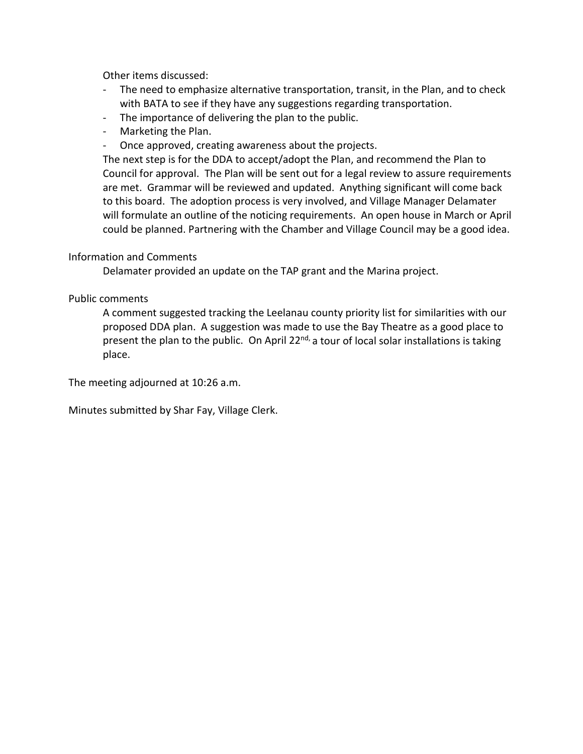Other items discussed:

- The need to emphasize alternative transportation, transit, in the Plan, and to check with BATA to see if they have any suggestions regarding transportation.
- The importance of delivering the plan to the public.
- Marketing the Plan.
- Once approved, creating awareness about the projects.

The next step is for the DDA to accept/adopt the Plan, and recommend the Plan to Council for approval. The Plan will be sent out for a legal review to assure requirements are met. Grammar will be reviewed and updated. Anything significant will come back to this board. The adoption process is very involved, and Village Manager Delamater will formulate an outline of the noticing requirements. An open house in March or April could be planned. Partnering with the Chamber and Village Council may be a good idea.

# Information and Comments

Delamater provided an update on the TAP grant and the Marina project.

# Public comments

A comment suggested tracking the Leelanau county priority list for similarities with our proposed DDA plan. A suggestion was made to use the Bay Theatre as a good place to present the plan to the public. On April 22 $nd$ , a tour of local solar installations is taking place.

The meeting adjourned at 10:26 a.m.

Minutes submitted by Shar Fay, Village Clerk.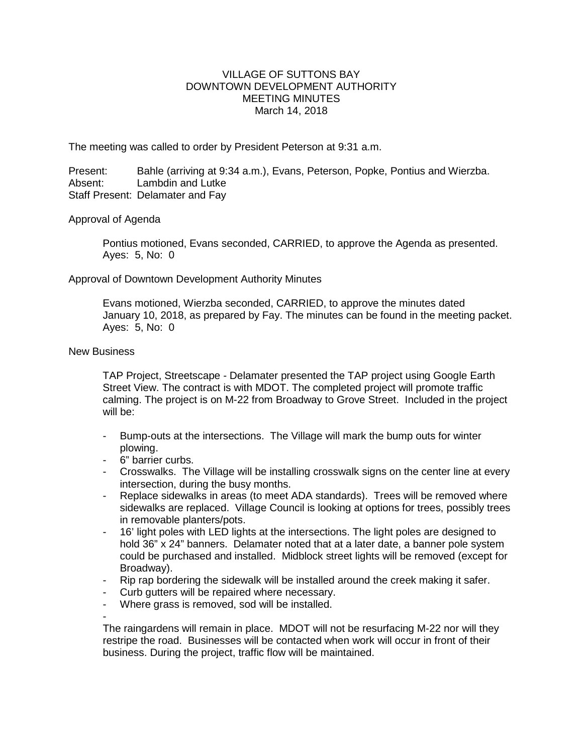## VILLAGE OF SUTTONS BAY DOWNTOWN DEVELOPMENT AUTHORITY MEETING MINUTES March 14, 2018

The meeting was called to order by President Peterson at 9:31 a.m.

Present: Bahle (arriving at 9:34 a.m.), Evans, Peterson, Popke, Pontius and Wierzba.<br>Absent: Lambdin and Lutke Lambdin and Lutke Staff Present: Delamater and Fay

## Approval of Agenda

Pontius motioned, Evans seconded, CARRIED, to approve the Agenda as presented. Ayes: 5, No: 0

## Approval of Downtown Development Authority Minutes

Evans motioned, Wierzba seconded, CARRIED, to approve the minutes dated January 10, 2018, as prepared by Fay. The minutes can be found in the meeting packet. Ayes: 5, No: 0

## New Business

TAP Project, Streetscape - Delamater presented the TAP project using Google Earth Street View. The contract is with MDOT. The completed project will promote traffic calming. The project is on M-22 from Broadway to Grove Street. Included in the project will be:

- Bump-outs at the intersections. The Village will mark the bump outs for winter plowing.
- 6" barrier curbs.
- Crosswalks. The Village will be installing crosswalk signs on the center line at every intersection, during the busy months.
- Replace sidewalks in areas (to meet ADA standards). Trees will be removed where sidewalks are replaced. Village Council is looking at options for trees, possibly trees in removable planters/pots.
- 16' light poles with LED lights at the intersections. The light poles are designed to hold 36" x 24" banners. Delamater noted that at a later date, a banner pole system could be purchased and installed. Midblock street lights will be removed (except for Broadway).
- Rip rap bordering the sidewalk will be installed around the creek making it safer.
- Curb gutters will be repaired where necessary.
- Where grass is removed, sod will be installed.

-

The raingardens will remain in place. MDOT will not be resurfacing M-22 nor will they restripe the road. Businesses will be contacted when work will occur in front of their business. During the project, traffic flow will be maintained.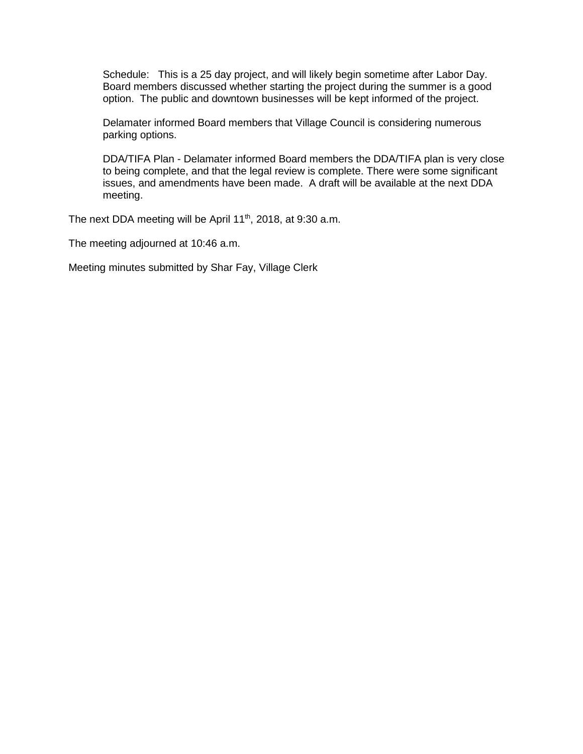Schedule: This is a 25 day project, and will likely begin sometime after Labor Day. Board members discussed whether starting the project during the summer is a good option. The public and downtown businesses will be kept informed of the project.

Delamater informed Board members that Village Council is considering numerous parking options.

DDA/TIFA Plan - Delamater informed Board members the DDA/TIFA plan is very close to being complete, and that the legal review is complete. There were some significant issues, and amendments have been made. A draft will be available at the next DDA meeting.

The next DDA meeting will be April 11<sup>th</sup>, 2018, at 9:30 a.m.

The meeting adjourned at 10:46 a.m.

Meeting minutes submitted by Shar Fay, Village Clerk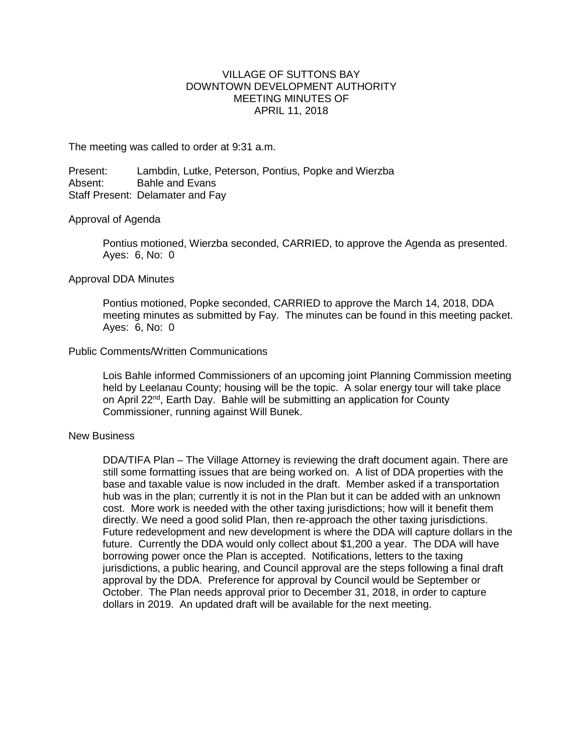## VILLAGE OF SUTTONS BAY DOWNTOWN DEVELOPMENT AUTHORITY MEETING MINUTES OF APRIL 11, 2018

The meeting was called to order at 9:31 a.m.

Present: Lambdin, Lutke, Peterson, Pontius, Popke and Wierzba<br>Absent: Bahle and Evans Bahle and Evans Staff Present: Delamater and Fay

#### Approval of Agenda

Pontius motioned, Wierzba seconded, CARRIED, to approve the Agenda as presented. Ayes: 6, No: 0

#### Approval DDA Minutes

Pontius motioned, Popke seconded, CARRIED to approve the March 14, 2018, DDA meeting minutes as submitted by Fay. The minutes can be found in this meeting packet. Ayes: 6, No: 0

#### Public Comments/Written Communications

Lois Bahle informed Commissioners of an upcoming joint Planning Commission meeting held by Leelanau County; housing will be the topic. A solar energy tour will take place on April 22<sup>nd</sup>, Earth Day. Bahle will be submitting an application for County Commissioner, running against Will Bunek.

#### New Business

DDA/TIFA Plan – The Village Attorney is reviewing the draft document again. There are still some formatting issues that are being worked on. A list of DDA properties with the base and taxable value is now included in the draft. Member asked if a transportation hub was in the plan; currently it is not in the Plan but it can be added with an unknown cost. More work is needed with the other taxing jurisdictions; how will it benefit them directly. We need a good solid Plan, then re-approach the other taxing jurisdictions. Future redevelopment and new development is where the DDA will capture dollars in the future. Currently the DDA would only collect about \$1,200 a year. The DDA will have borrowing power once the Plan is accepted. Notifications, letters to the taxing jurisdictions, a public hearing, and Council approval are the steps following a final draft approval by the DDA. Preference for approval by Council would be September or October. The Plan needs approval prior to December 31, 2018, in order to capture dollars in 2019. An updated draft will be available for the next meeting.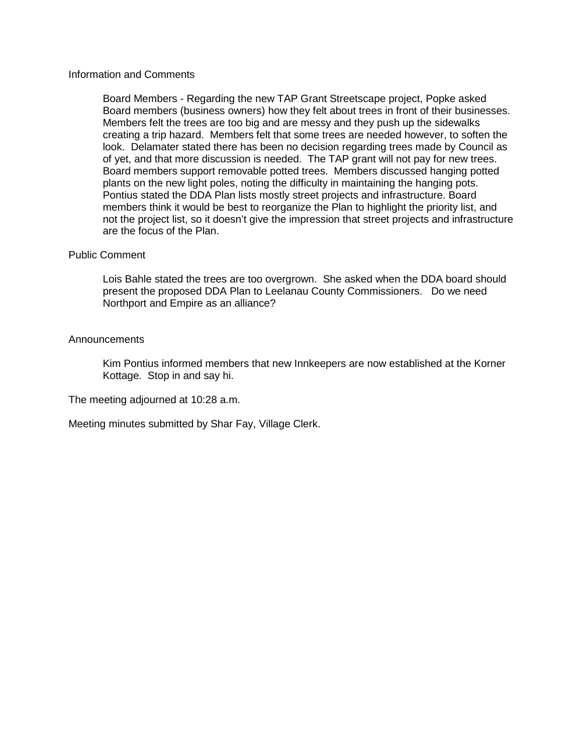#### Information and Comments

Board Members - Regarding the new TAP Grant Streetscape project, Popke asked Board members (business owners) how they felt about trees in front of their businesses. Members felt the trees are too big and are messy and they push up the sidewalks creating a trip hazard. Members felt that some trees are needed however, to soften the look. Delamater stated there has been no decision regarding trees made by Council as of yet, and that more discussion is needed. The TAP grant will not pay for new trees. Board members support removable potted trees. Members discussed hanging potted plants on the new light poles, noting the difficulty in maintaining the hanging pots. Pontius stated the DDA Plan lists mostly street projects and infrastructure. Board members think it would be best to reorganize the Plan to highlight the priority list, and not the project list, so it doesn't give the impression that street projects and infrastructure are the focus of the Plan.

#### Public Comment

Lois Bahle stated the trees are too overgrown. She asked when the DDA board should present the proposed DDA Plan to Leelanau County Commissioners. Do we need Northport and Empire as an alliance?

#### Announcements

Kim Pontius informed members that new Innkeepers are now established at the Korner Kottage. Stop in and say hi.

The meeting adjourned at 10:28 a.m.

Meeting minutes submitted by Shar Fay, Village Clerk.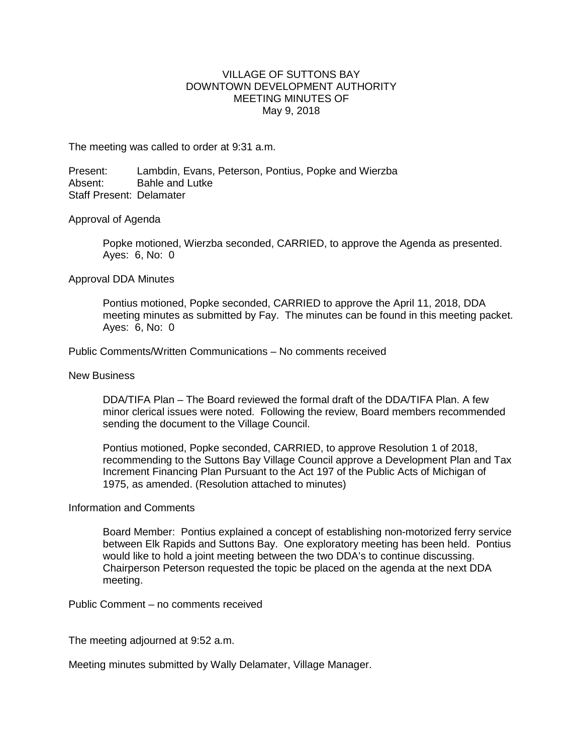## VILLAGE OF SUTTONS BAY DOWNTOWN DEVELOPMENT AUTHORITY MEETING MINUTES OF May 9, 2018

The meeting was called to order at 9:31 a.m.

Present: Lambdin, Evans, Peterson, Pontius, Popke and Wierzba<br>Absent: Bable and Lutke Bahle and Lutke Staff Present: Delamater

#### Approval of Agenda

Popke motioned, Wierzba seconded, CARRIED, to approve the Agenda as presented. Ayes: 6, No: 0

#### Approval DDA Minutes

Pontius motioned, Popke seconded, CARRIED to approve the April 11, 2018, DDA meeting minutes as submitted by Fay. The minutes can be found in this meeting packet. Ayes: 6, No: 0

Public Comments/Written Communications – No comments received

New Business

DDA/TIFA Plan – The Board reviewed the formal draft of the DDA/TIFA Plan. A few minor clerical issues were noted. Following the review, Board members recommended sending the document to the Village Council.

Pontius motioned, Popke seconded, CARRIED, to approve Resolution 1 of 2018, recommending to the Suttons Bay Village Council approve a Development Plan and Tax Increment Financing Plan Pursuant to the Act 197 of the Public Acts of Michigan of 1975, as amended. (Resolution attached to minutes)

#### Information and Comments

Board Member: Pontius explained a concept of establishing non-motorized ferry service between Elk Rapids and Suttons Bay. One exploratory meeting has been held. Pontius would like to hold a joint meeting between the two DDA's to continue discussing. Chairperson Peterson requested the topic be placed on the agenda at the next DDA meeting.

Public Comment – no comments received

The meeting adjourned at 9:52 a.m.

Meeting minutes submitted by Wally Delamater, Village Manager.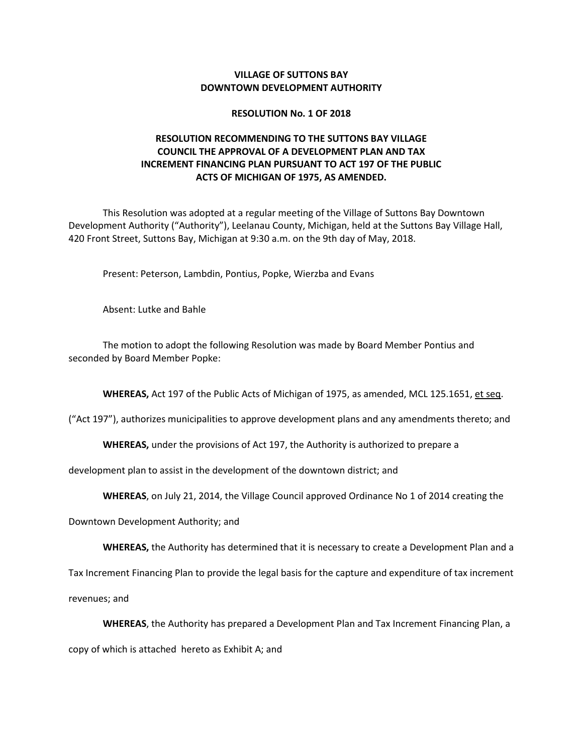#### **VILLAGE OF SUTTONS BAY DOWNTOWN DEVELOPMENT AUTHORITY**

#### **RESOLUTION No. 1 OF 2018**

# **RESOLUTION RECOMMENDING TO THE SUTTONS BAY VILLAGE COUNCIL THE APPROVAL OF A DEVELOPMENT PLAN AND TAX INCREMENT FINANCING PLAN PURSUANT TO ACT 197 OF THE PUBLIC ACTS OF MICHIGAN OF 1975, AS AMENDED.**

This Resolution was adopted at a regular meeting of the Village of Suttons Bay Downtown Development Authority ("Authority"), Leelanau County, Michigan, held at the Suttons Bay Village Hall, 420 Front Street, Suttons Bay, Michigan at 9:30 a.m. on the 9th day of May, 2018.

Present: Peterson, Lambdin, Pontius, Popke, Wierzba and Evans

Absent: Lutke and Bahle

The motion to adopt the following Resolution was made by Board Member Pontius and seconded by Board Member Popke:

**WHEREAS,** Act 197 of the Public Acts of Michigan of 1975, as amended, MCL 125.1651, et seq.

("Act 197"), authorizes municipalities to approve development plans and any amendments thereto; and

**WHEREAS,** under the provisions of Act 197, the Authority is authorized to prepare a

development plan to assist in the development of the downtown district; and

**WHEREAS**, on July 21, 2014, the Village Council approved Ordinance No 1 of 2014 creating the

Downtown Development Authority; and

**WHEREAS,** the Authority has determined that it is necessary to create a Development Plan and a

Tax Increment Financing Plan to provide the legal basis for the capture and expenditure of tax increment

revenues; and

**WHEREAS**, the Authority has prepared a Development Plan and Tax Increment Financing Plan, a

copy of which is attached hereto as Exhibit A; and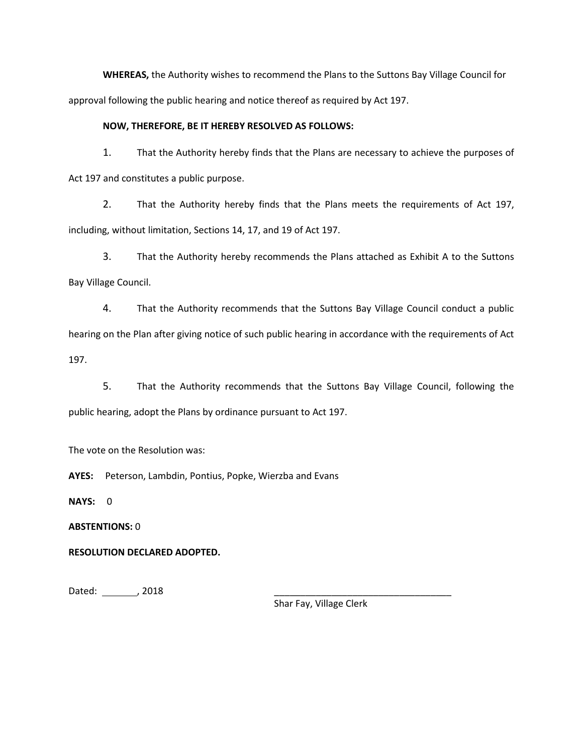**WHEREAS,** the Authority wishes to recommend the Plans to the Suttons Bay Village Council for approval following the public hearing and notice thereof as required by Act 197.

#### **NOW, THEREFORE, BE IT HEREBY RESOLVED AS FOLLOWS:**

1. That the Authority hereby finds that the Plans are necessary to achieve the purposes of Act 197 and constitutes a public purpose.

2. That the Authority hereby finds that the Plans meets the requirements of Act 197, including, without limitation, Sections 14, 17, and 19 of Act 197.

3. That the Authority hereby recommends the Plans attached as Exhibit A to the Suttons Bay Village Council.

4. That the Authority recommends that the Suttons Bay Village Council conduct a public hearing on the Plan after giving notice of such public hearing in accordance with the requirements of Act 197.

5. That the Authority recommends that the Suttons Bay Village Council, following the public hearing, adopt the Plans by ordinance pursuant to Act 197.

The vote on the Resolution was:

**AYES:** Peterson, Lambdin, Pontius, Popke, Wierzba and Evans

**NAYS:** 0

**ABSTENTIONS:** 0

**RESOLUTION DECLARED ADOPTED.**

Dated: , 2018 \_\_\_\_\_\_\_\_\_\_\_\_\_\_\_\_\_\_\_\_\_\_\_\_\_\_\_\_\_\_\_\_\_\_

Shar Fay, Village Clerk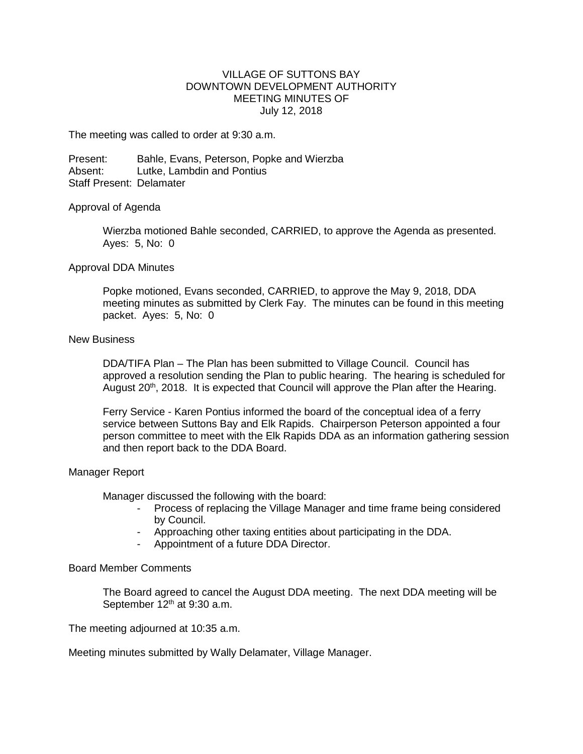## VILLAGE OF SUTTONS BAY DOWNTOWN DEVELOPMENT AUTHORITY MEETING MINUTES OF July 12, 2018

The meeting was called to order at 9:30 a.m.

Present: Bahle, Evans, Peterson, Popke and Wierzba Absent: Lutke, Lambdin and Pontius Staff Present: Delamater

#### Approval of Agenda

Wierzba motioned Bahle seconded, CARRIED, to approve the Agenda as presented. Ayes: 5, No: 0

#### Approval DDA Minutes

Popke motioned, Evans seconded, CARRIED, to approve the May 9, 2018, DDA meeting minutes as submitted by Clerk Fay. The minutes can be found in this meeting packet. Ayes: 5, No: 0

#### New Business

DDA/TIFA Plan – The Plan has been submitted to Village Council. Council has approved a resolution sending the Plan to public hearing. The hearing is scheduled for August 20<sup>th</sup>, 2018. It is expected that Council will approve the Plan after the Hearing.

Ferry Service - Karen Pontius informed the board of the conceptual idea of a ferry service between Suttons Bay and Elk Rapids. Chairperson Peterson appointed a four person committee to meet with the Elk Rapids DDA as an information gathering session and then report back to the DDA Board.

#### Manager Report

Manager discussed the following with the board:

- Process of replacing the Village Manager and time frame being considered by Council.
- Approaching other taxing entities about participating in the DDA.
- Appointment of a future DDA Director.

#### Board Member Comments

The Board agreed to cancel the August DDA meeting. The next DDA meeting will be September 12<sup>th</sup> at 9:30 a.m.

The meeting adjourned at 10:35 a.m.

Meeting minutes submitted by Wally Delamater, Village Manager.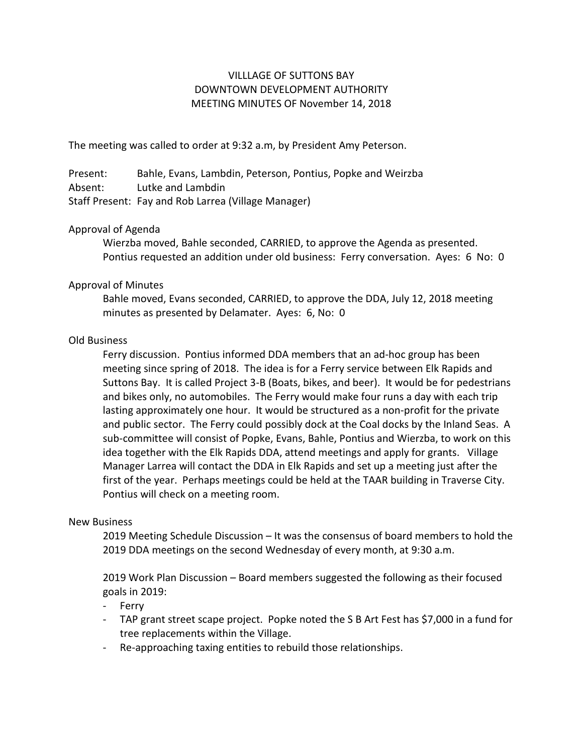# VILLLAGE OF SUTTONS BAY DOWNTOWN DEVELOPMENT AUTHORITY MEETING MINUTES OF November 14, 2018

The meeting was called to order at 9:32 a.m, by President Amy Peterson.

Present: Bahle, Evans, Lambdin, Peterson, Pontius, Popke and Weirzba Absent: Lutke and Lambdin Staff Present: Fay and Rob Larrea (Village Manager)

# Approval of Agenda

Wierzba moved, Bahle seconded, CARRIED, to approve the Agenda as presented. Pontius requested an addition under old business: Ferry conversation. Ayes: 6 No: 0

## Approval of Minutes

Bahle moved, Evans seconded, CARRIED, to approve the DDA, July 12, 2018 meeting minutes as presented by Delamater. Ayes: 6, No: 0

## Old Business

Ferry discussion. Pontius informed DDA members that an ad-hoc group has been meeting since spring of 2018. The idea is for a Ferry service between Elk Rapids and Suttons Bay. It is called Project 3-B (Boats, bikes, and beer). It would be for pedestrians and bikes only, no automobiles. The Ferry would make four runs a day with each trip lasting approximately one hour. It would be structured as a non-profit for the private and public sector. The Ferry could possibly dock at the Coal docks by the Inland Seas. A sub-committee will consist of Popke, Evans, Bahle, Pontius and Wierzba, to work on this idea together with the Elk Rapids DDA, attend meetings and apply for grants. Village Manager Larrea will contact the DDA in Elk Rapids and set up a meeting just after the first of the year. Perhaps meetings could be held at the TAAR building in Traverse City. Pontius will check on a meeting room.

#### New Business

2019 Meeting Schedule Discussion – It was the consensus of board members to hold the 2019 DDA meetings on the second Wednesday of every month, at 9:30 a.m.

2019 Work Plan Discussion – Board members suggested the following as their focused goals in 2019:

- Ferry
- TAP grant street scape project. Popke noted the S B Art Fest has \$7,000 in a fund for tree replacements within the Village.
- Re-approaching taxing entities to rebuild those relationships.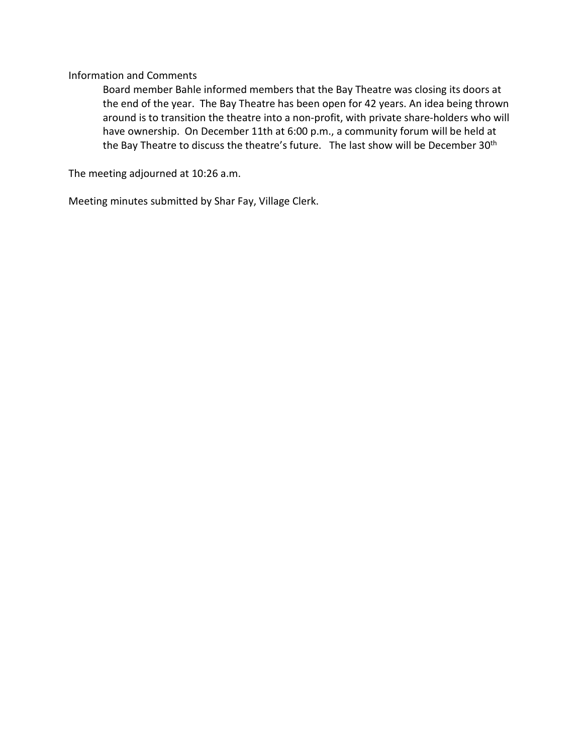Information and Comments

Board member Bahle informed members that the Bay Theatre was closing its doors at the end of the year. The Bay Theatre has been open for 42 years. An idea being thrown around is to transition the theatre into a non-profit, with private share-holders who will have ownership. On December 11th at 6:00 p.m., a community forum will be held at the Bay Theatre to discuss the theatre's future. The last show will be December 30<sup>th</sup>

The meeting adjourned at 10:26 a.m.

Meeting minutes submitted by Shar Fay, Village Clerk.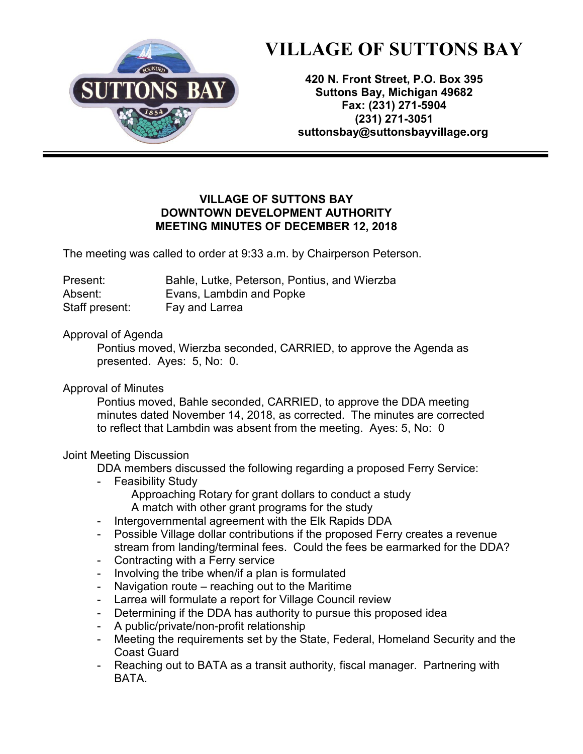

# **VILLAGE OF SUTTONS BAY**

**420 N. Front Street, P.O. Box 395 Suttons Bay, Michigan 49682 Fax: (231) 271-5904 (231) 271-3051 [suttonsbay@suttonsbayvillage.org](mailto:suttonsbay@suttonsbayvillage.org)**

# **VILLAGE OF SUTTONS BAY DOWNTOWN DEVELOPMENT AUTHORITY MEETING MINUTES OF DECEMBER 12, 2018**

The meeting was called to order at 9:33 a.m. by Chairperson Peterson.

| Present:       | Bahle, Lutke, Peterson, Pontius, and Wierzba |
|----------------|----------------------------------------------|
| Absent:        | Evans, Lambdin and Popke                     |
| Staff present: | Fay and Larrea                               |

# Approval of Agenda

Pontius moved, Wierzba seconded, CARRIED, to approve the Agenda as presented. Ayes: 5, No: 0.

Approval of Minutes

Pontius moved, Bahle seconded, CARRIED, to approve the DDA meeting minutes dated November 14, 2018, as corrected. The minutes are corrected to reflect that Lambdin was absent from the meeting. Ayes: 5, No: 0

# Joint Meeting Discussion

DDA members discussed the following regarding a proposed Ferry Service:

- **Feasibility Study** 
	- Approaching Rotary for grant dollars to conduct a study A match with other grant programs for the study
- Intergovernmental agreement with the Elk Rapids DDA
- Possible Village dollar contributions if the proposed Ferry creates a revenue stream from landing/terminal fees. Could the fees be earmarked for the DDA?
- Contracting with a Ferry service
- Involving the tribe when/if a plan is formulated
- Navigation route reaching out to the Maritime
- Larrea will formulate a report for Village Council review
- Determining if the DDA has authority to pursue this proposed idea
- A public/private/non-profit relationship
- Meeting the requirements set by the State, Federal, Homeland Security and the Coast Guard
- Reaching out to BATA as a transit authority, fiscal manager. Partnering with BATA.